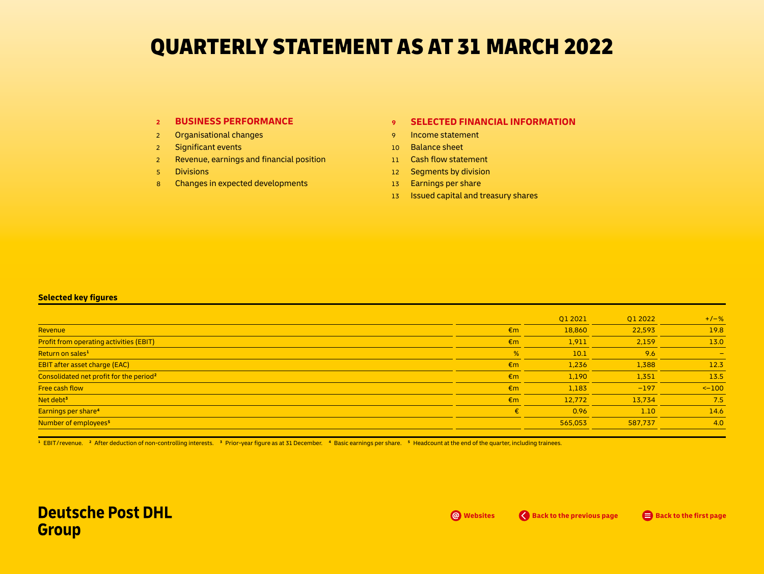# QUARTERLY STATEMENT AS AT 31 MARCH 2022

## **<sup>2</sup> [BUSINESS PERFORMANCE](#page-1-0)**

- 2 [Organisational changes](#page-1-0)
- 2 [Significant](#page-1-0) events
- 2 Revenue, earnings and [financial position](#page-1-0)
- 5 [Divisions](#page-4-0)
- 8 Changes in expected [developments](#page-7-0)

## **<sup>9</sup> [SELECTED FINANCIAL INFORMATION](#page-8-0)**

- 9 [Income](#page-8-0) statement
- 10 [Balance sheet](#page-9-0)
- 11 Cash flow [statement](#page-10-0)
- 12 Segments by division
- 13 Earnings per share
- 13 **Issued capital and treasury shares**

## **Selected key figures**

|                                                     |              | Q1 2021 | Q1 2022 | $+/-%$                   |
|-----------------------------------------------------|--------------|---------|---------|--------------------------|
| Revenue                                             | $\epsilon$ m | 18,860  | 22,593  | 19.8                     |
| <b>Profit from operating activities (EBIT)</b>      | $\epsilon$ m | 1,911   | 2,159   | 13.0                     |
| Return on sales <sup>1</sup>                        | %            | 10.1    | 9.6     | $\overline{\phantom{a}}$ |
| <b>EBIT after asset charge (EAC)</b>                | $\epsilon$ m | 1,236   | 1,388   | 12.3                     |
| Consolidated net profit for the period <sup>2</sup> | $\epsilon$ m | 1,190   | 1,351   | 13.5                     |
| Free cash flow                                      | $\epsilon$ m | 1,183   | $-197$  | $<-100$                  |
| Net debt <sup>3</sup>                               | $\epsilon$ m | 12,772  | 13,734  | 7.5                      |
| Earnings per share <sup>4</sup>                     | €            | 0.96    | 1.10    | 14.6                     |
| Number of employees <sup>5</sup>                    |              | 565,053 | 587,737 | 4.0                      |

<sup>1</sup> EBIT/revenue. <sup>2</sup> After deduction of non-controlling interests. <sup>3</sup> Prior-year figure as at 31 December. <sup>4</sup> Basic earnings per share. <sup>5</sup> Headcount at the end of the quarter, including trainees.

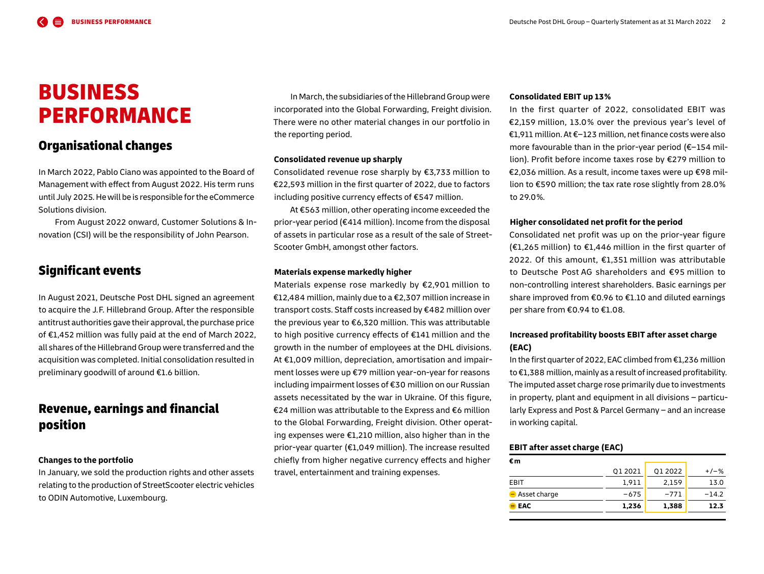# <span id="page-1-0"></span>BUSINESS PERFORMANCE

## Organisational changes

In March 2022, Pablo Ciano was appointed to the Board of Management with effect from August 2022. His term runs until July 2025.Hewill be is responsible forthe eCommerce Solutions division.

From August 2022 onward, Customer Solutions & Innovation (CSI) will be the responsibility of John Pearson.

## Significant events

In August 2021, Deutsche Post DHL signed an agreement to acquire the J. F. Hillebrand Group. After the responsible antitrust authorities gave their approval, the purchase price of €1,452 million was fully paid at the end of March 2022, all shares of the Hillebrand Group were transferred and the acquisition was completed. Initial consolidation resulted in preliminary goodwill of around €1.6 billion.

# Revenue, earnings and financial position

## **Changes to the portfolio**

In January, we sold the production rights and other assets relating to the production of StreetScooter electric vehicles to ODIN Automotive, Luxembourg.

In March, the subsidiaries of the Hillebrand Group were incorporated into the Global Forwarding, Freight division. There were no other material changes in our portfolio in the reporting period.

#### **Consolidated revenue up sharply**

Consolidated revenue rose sharply by €3,733 million to €22,593 million in the first quarter of 2022, due to factors including positive currency effects of €547 million.

At €563 million, other operating income exceeded the prior-year period (€414 million). Income from the disposal of assets in particular rose as a result of the sale of Street-Scooter GmbH, amongst other factors.

## **Materials expense markedly higher**

Materials expense rose markedly by €2,901 million to €12,484 million, mainly due to a €2,307 million increase in transport costs. Staff costs increased by €482 million over the previous year to €6,320 million. This was attributable to high positive currency effects of €141 million and the growth in the number of employees at the DHL divisions. At €1,009 million, depreciation, amortisation and impairment losses were up €79 million year-on-year for reasons including impairment losses of €30 million on our Russian assets necessitated by the war in Ukraine. Of this figure, €24 million was attributable to the Express and €6 million to the Global Forwarding, Freight division. Other operating expenses were €1,210 million, also higher than in the prior-year quarter (€1,049 million). The increase resulted chiefly from higher negative currency effects and higher travel, entertainment and training expenses.

### **Consolidated EBIT up 13 %**

In the first quarter of 2022, consolidated EBIT was €2,159 million, 13.0 % over the previous year's level of €1,911 million. At €–123 million, net finance costs were also more favourable than in the prior-year period (€–154 million). Profit before income taxes rose by €279 million to €2,036 million. As a result, income taxes were up €98 million to €590 million; the tax rate rose slightly from 28.0 % to 29.0 %.

### **Higher consolidated net profit for the period**

Consolidated net profit was up on the prior-year figure (€1,265 million) to €1,446 million in the first quarter of 2022. Of this amount, €1,351 million was attributable to Deutsche Post AG shareholders and €95 million to non-controlling interest shareholders. Basic earnings per share improved from €0.96 to €1.10 and diluted earnings per share from €0.94 to €1.08.

## **Increased profitability boosts EBIT after asset charge (EAC)**

In the first quarter of 2022, EAC climbed from €1,236 million to €1,388 million, mainly as a result of increased profitability. The imputed asset charge rose primarily due to investments in property, plant and equipment in all divisions – particularly Express and Post & Parcel Germany – and an increase in working capital.

## **EBIT after asset charge (EAC)**

| $\bullet$ EAC               | 1,236   | 1,388   | 12.3    |
|-----------------------------|---------|---------|---------|
| $\blacksquare$ Asset charge | $-675$  | $-771$  | $-14.2$ |
| EBIT                        | 1,911   | 2,159   | 13.0    |
|                             | Q1 2021 | Q1 2022 | $+/-$ % |
| €m                          |         |         |         |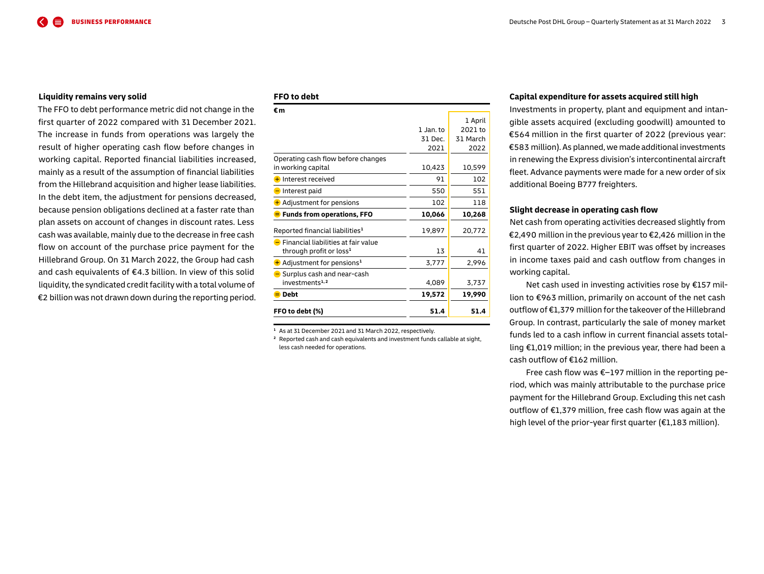#### **Liquidity remains very solid**

The FFO to debt performance metric did not change in the first quarter of 2022 compared with 31 December 2021. The increase in funds from operations was largely the result of higher operating cash flow before changes in working capital. Reported financial liabilities increased, mainly as a result of the assumption of financial liabilities from the Hillebrand acquisition and higher lease liabilities. In the debt item, the adjustment for pensions decreased, because pension obligations declined at a faster rate than plan assets on account of changes in discount rates. Less cash was available, mainly due to the decrease in free cash flow on account of the purchase price payment for the Hillebrand Group. On 31 March 2022, the Group had cash and cash equivalents of €4.3 billion. In view of this solid liquidity, the syndicated credit facility with a total volume of €2 billion was not drawn down during the reporting period.

## **FFO to debt**

| €m                                                 |             |          |
|----------------------------------------------------|-------------|----------|
|                                                    |             | 1 April  |
|                                                    | $1$ Jan. to | 2021 to  |
|                                                    | 31 Dec.     | 31 March |
|                                                    | 2021        | 2022     |
| Operating cash flow before changes                 |             |          |
| in working capital                                 | 10,423      | 10,599   |
| <b>+</b> Interest received                         | 91          | 102      |
| Interest paid                                      | 550         | 551      |
| + Adjustment for pensions                          | 102         | 118      |
| <b>E</b> Funds from operations, FFO                | 10,066      | 10,268   |
| Reported financial liabilities <sup>1</sup>        | 19,897      | 20,772   |
| $\blacksquare$ Financial liabilities at fair value |             |          |
| through profit or loss <sup>1</sup>                | 13          | 41       |
| $\pm$ Adjustment for pensions <sup>1</sup>         | 3,777       | 2,996    |
| $\blacksquare$ Surplus cash and near-cash          |             |          |
| investments <sup>1,2</sup>                         | 4,089       | 3,737    |
| $\blacksquare$ Debt                                | 19,572      | 19,990   |
| FFO to debt (%)                                    | 51.4        | 51.4     |

**<sup>1</sup>** As at 31 December 2021 and 31 March 2022, respectively.

**<sup>2</sup>** Reported cash and cash equivalents and investment funds callable at sight, less cash needed for operations.

#### **Capital expenditure for assets acquired still high**

Investments in property, plant and equipment and intangible assets acquired (excluding goodwill) amounted to €564 million in the first quarter of 2022 (previous year: €583 million). As planned, we made additional investments in renewing the Express division's intercontinental aircraft fleet. Advance payments were made for a new order of six additional Boeing B777 freighters.

#### **Slight decrease in operating cash flow**

Net cash from operating activities decreased slightly from €2,490 million in the previous yearto €2,426 million in the first quarter of 2022. Higher EBIT was offset by increases in income taxes paid and cash outflow from changes in working capital.

Net cash used in investing activities rose by €157 million to €963 million, primarily on account of the net cash outflow of €1,379 million for the takeover of the Hillebrand Group. In contrast, particularly the sale of money market funds led to a cash inflow in current financial assets totalling €1,019 million; in the previous year, there had been a cash outflow of €162 million.

Free cash flow was €–197 million in the reporting period, which was mainly attributable to the purchase price payment for the Hillebrand Group. Excluding this net cash outflow of €1,379 million, free cash flow was again at the high level of the prior-year first quarter (€1,183 million).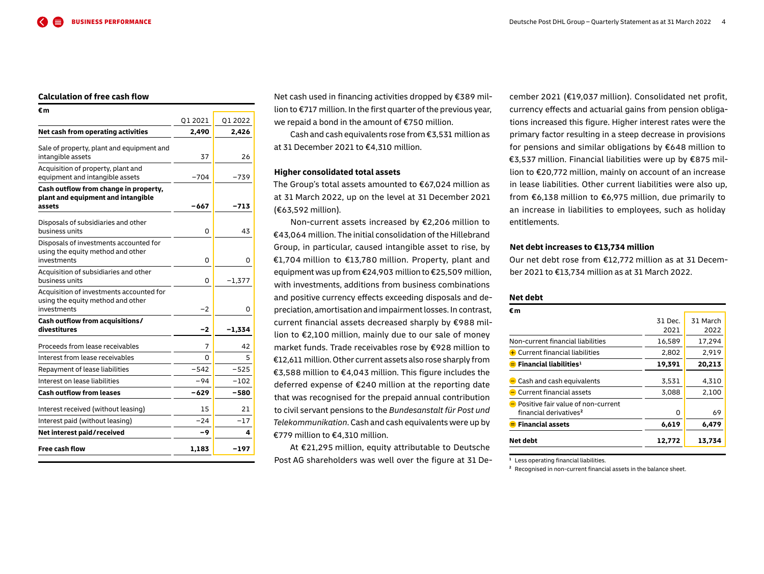### **Calculation of free cash flow**

| €m                                                                                           |        |          |
|----------------------------------------------------------------------------------------------|--------|----------|
|                                                                                              | 012021 | Q1 2022  |
| Net cash from operating activities                                                           | 2,490  | 2,426    |
| Sale of property, plant and equipment and<br>intangible assets                               | 37     | 26       |
| Acquisition of property, plant and<br>equipment and intangible assets                        | $-704$ | $-739$   |
| Cash outflow from change in property,<br>plant and equipment and intangible<br>assets        | -667   | -713     |
| Disposals of subsidiaries and other<br>business units                                        | 0      | 43       |
| Disposals of investments accounted for<br>using the equity method and other<br>investments   | 0      | 0        |
| Acquisition of subsidiaries and other<br>business units                                      | 0      | $-1,377$ |
| Acquisition of investments accounted for<br>using the equity method and other<br>investments | $-2$   | 0        |
| Cash outflow from acquisitions/<br>divestitures                                              | -2     | -1,334   |
| Proceeds from lease receivables                                                              | 7      | 42       |
| Interest from lease receivables                                                              | 0      | 5        |
| Repayment of lease liabilities                                                               | -542   | $-525$   |
| Interest on lease liabilities                                                                | -94    | $-102$   |
| <b>Cash outflow from leases</b>                                                              | -629   | -580     |
| Interest received (without leasing)                                                          | 15     | 21       |
| Interest paid (without leasing)                                                              | $-24$  | $-17$    |
| Net interest paid/received                                                                   | -9     | 4        |
| <b>Free cash flow</b>                                                                        | 1,183  | $-197$   |

Net cash used in financing activities dropped by €389 million to €717 million. In the first quarter of the previous year, we repaid a bond in the amount of €750 million.

Cash and cash equivalents rose from €3,531 million as at 31 December 2021 to €4,310 million.

## **Higher consolidated total assets**

The Group's total assets amounted to €67,024 million as at 31 March 2022, up on the level at 31 December 2021 (€63,592 million).

Non-current assets increased by €2,206 million to €43,064 million. The initial consolidation of the Hillebrand Group, in particular, caused intangible asset to rise, by €1,704 million to €13,780 million. Property, plant and equipment was up from €24,903 million to €25,509 million, with investments, additions from business combinations and positive currency effects exceeding disposals and depreciation, amortisation and impairment losses. In contrast, current financial assets decreased sharply by €988 million to €2,100 million, mainly due to our sale of money market funds. Trade receivables rose by €928 million to €12,611 million.Other current assets also rose sharply from €3,588 million to €4,043 million. This figure includes the deferred expense of €240 million at the reporting date that was recognised for the prepaid annual contribution to civil servant pensions to the *Bundesanstalt für Post und Telekommunikation*. Cash and cash equivalents were up by €779 million to €4,310 million.

At €21,295 million, equity attributable to Deutsche Post AG shareholders was well over the figure at 31 December 2021 (€19,037 million). Consolidated net profit, currency effects and actuarial gains from pension obligations increased this figure. Higher interest rates were the primary factor resulting in a steep decrease in provisions for pensions and similar obligations by €648 million to €3,537 million. Financial liabilities were up by €875 million to €20,772 million, mainly on account of an increase in lease liabilities. Other current liabilities were also up, from €6,138 million to €6,975 million, due primarily to an increase in liabilities to employees, such as holiday entitlements.

#### **Net debt increases to €13,734 million**

Our net debt rose from €12,772 million as at 31 December 2021 to €13,734 million as at 31 March 2022.

#### **Net debt**

| €m                                                                                      |                 |                  |
|-----------------------------------------------------------------------------------------|-----------------|------------------|
|                                                                                         | 31 Dec.<br>2021 | 31 March<br>2022 |
| Non-current financial liabilities                                                       | 16,589          | 17,294           |
| + Current financial liabilities                                                         | 2.802           | 2.919            |
| $\blacksquare$ Financial liabilities <sup>1</sup>                                       | 19,391          | 20,213           |
| $\blacksquare$ Cash and cash equivalents                                                | 3,531           | 4,310            |
| $\blacksquare$ Current financial assets                                                 | 3,088           | 2,100            |
| $\blacksquare$ Positive fair value of non-current<br>financial derivatives <sup>2</sup> | 0               | 69               |
| $\blacksquare$ Financial assets                                                         | 6,619           | 6.479            |
| Net debt                                                                                | 12,772          | 13,734           |

**<sup>1</sup>** Less operating financial liabilities.

<sup>2</sup> Recognised in non-current financial assets in the balance sheet.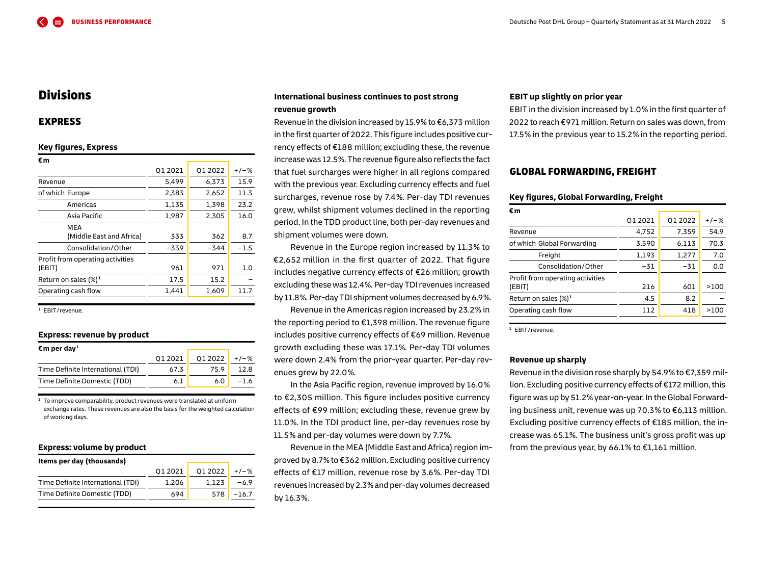## <span id="page-4-0"></span>Divisions

## EXPRESS

#### **Key figures, Express**

| €m                               |         |         |         |
|----------------------------------|---------|---------|---------|
|                                  | 01 2021 | 01 2022 | $+/-$ % |
| Revenue                          | 5.499   | 6,373   | 15.9    |
| of which Europe                  | 2,383   | 2,652   | 11.3    |
| Americas                         | 1,135   | 1,398   | 23.2    |
| Asia Pacific                     | 1,987   | 2,305   | 16.0    |
| MEA                              |         |         |         |
| (Middle East and Africa)         | 333     | 362     | 8.7     |
| Consolidation/Other              | $-339$  | $-344$  | $-1.5$  |
| Profit from operating activities |         |         |         |
| (EBIT)                           | 961     | 971     | 1.0     |
| Return on sales $(\%)^1$         | 17.5    | 15.2    |         |
| Operating cash flow              | 1,441   | 1,609   | 11.7    |
|                                  |         |         |         |

**<sup>1</sup>** EBIT / revenue.

#### **Express: revenue by product**

| $\mathbf{\epsilon}$ m per dav <sup>1</sup> |         |         |         |
|--------------------------------------------|---------|---------|---------|
|                                            | 01 2021 | 01 2022 | $+/-$ % |
| Time Definite International (TDI)          | 67.3    | 75.9    | 12.8    |
| Time Definite Domestic (TDD)               | 6.1     | 6.0     | $-1.6$  |
|                                            |         |         |         |

**<sup>1</sup>** To improve comparability, product revenues were translated at uniform exchange rates. These revenues are also the basis for the weighted calculation of working days.

### **Express: volume by product**

| Items per day (thousands)         |        |         |         |
|-----------------------------------|--------|---------|---------|
|                                   | 012021 | 01 2022 | $+/-$ % |
| Time Definite International (TDI) | 1.206  | 1.123   | $-6.9$  |
| Time Definite Domestic (TDD)      | 694    | 578     | $-16.7$ |
|                                   |        |         |         |

## **International business continues to post strong revenue growth**

Revenue in the division increased by 15.9 % to €6,373 million in the first quarter of 2022. This figure includes positive currency effects of €188 million; excluding these, the revenue increasewas 12.5 %. The revenue figure also reflects the fact that fuel surcharges were higher in all regions compared with the previous year. Excluding currency effects and fuel surcharges, revenue rose by 7.4 %. Per-day TDI revenues grew, whilst shipment volumes declined in the reporting period. In the TDD product line, both per-day revenues and shipment volumes were down.

Revenue in the Europe region increased by 11.3 % to €2,652 million in the first quarter of 2022. That figure includes negative currency effects of €26 million; growth excluding these was 12.4 %. Per-day TDIrevenues increased by 11.8 %.Per-day TDI shipment volumes decreased by 6.9 %.

Revenue in the Americas region increased by 23.2 % in the reporting period to €1,398 million. The revenue figure includes positive currency effects of €69 million. Revenue growth excluding these was 17.1 %. Per-day TDI volumes were down 2.4 % from the prior-year quarter. Per-day revenues grew by 22.0 %.

In the Asia Pacific region, revenue improved by 16.0 % to €2,305 million. This figure includes positive currency effects of €99 million; excluding these, revenue grew by 11.0 %. In the TDI product line, per-day revenues rose by 11.5 % and per-day volumes were down by 7.7 %.

Revenue in the MEA (Middle East and Africa) region improved by 8.7 % to €362 million. Excluding positive currency effects of €17 million, revenue rose by 3.6 %. Per-day TDI revenues increased by 2.3 % and per-day volumes decreased by 16.3 %.

#### **EBIT up slightly on prior year**

EBIT in the division increased by 1.0 % in the first quarter of 2022 to reach €971 million. Return on sales was down, from 17.5 % in the previous year to 15.2 % in the reporting period.

## GLOBAL FORWARDING, FREIGHT

#### **Key figures, Global Forwarding, Freight**

| €m                                         |         |         |        |
|--------------------------------------------|---------|---------|--------|
|                                            | Q1 2021 | Q1 2022 | $+/-%$ |
| Revenue                                    | 4,752   | 7,359   | 54.9   |
| of which Global Forwarding                 | 3,590   | 6,113   | 70.3   |
| Freight                                    | 1,193   | 1,277   | 7.0    |
| Consolidation/Other                        | $-31$   | $-31$   | 0.0    |
| Profit from operating activities<br>(EBIT) | 216     | 601     | >100   |
| Return on sales $(\%)^1$                   | 4.5     | 8.2     |        |
| Operating cash flow                        | 112     | 418     | >100   |

**<sup>1</sup>** EBIT / revenue.

#### **Revenue up sharply**

Revenue in the division rose sharply by 54.9 % to €7,359 million. Excluding positive currency effects of €172 million,this figure was up by 51.2 % year-on-year. In theGlobal Forwarding business unit, revenue was up 70.3 % to €6,113 million. Excluding positive currency effects of €185 million, the increase was 65.1 %. The business unit's gross profit was up from the previous year, by 66.1% to  $E1,161$  million.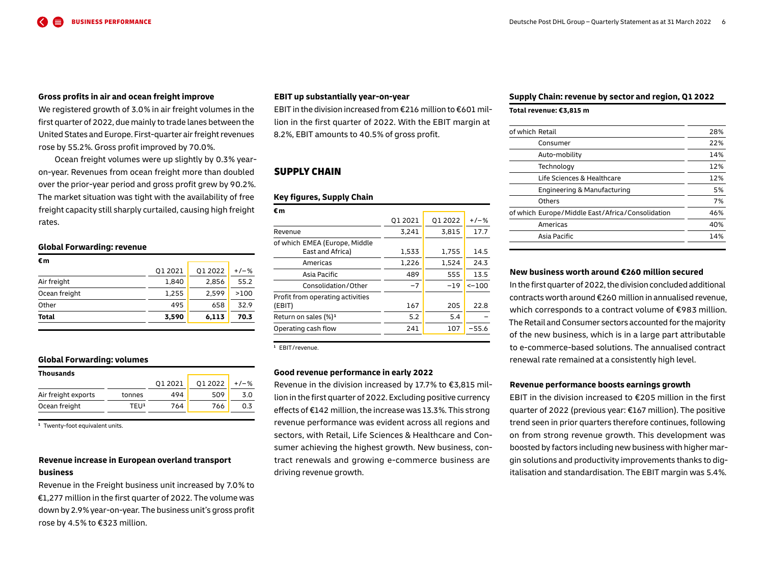#### **Gross profits in air and ocean freight improve**

We registered growth of 3.0 % in air freight volumes in the first quarter of 2022, due mainly to trade lanes between the United States and Europe. First-quarter air freight revenues rose by 55.2 %. Gross profit improved by 70.0 %.

Ocean freight volumes were up slightly by 0.3 % yearon-year. Revenues from ocean freight more than doubled over the prior-year period and gross profit grew by 90.2 %. The market situation was tight with the availability of free freight capacity still sharply curtailed, causing high freight rates.

#### **Global Forwarding: revenue**

| Total         | 3,590   | 6,113   | 70.3    |
|---------------|---------|---------|---------|
| Other         | 495     | 658     | 32.9    |
| Ocean freight | 1,255   | 2,599   | >100    |
| Air freight   | 1,840   | 2,856   | 55.2    |
|               | Q1 2021 | Q1 2022 | $+/-$ % |
| €m            |         |         |         |

#### **Global Forwarding: volumes**

| Thousands           |                  |         |         |      |
|---------------------|------------------|---------|---------|------|
|                     |                  | 01 2021 | 01 2022 | +/-% |
| Air freight exports | tonnes           | 494     | 509     | 3.0  |
| Ocean freight       | TFU <sup>1</sup> | 764     | 766     | 0.3  |

<sup>1</sup> Twenty-foot equivalent units.

## **Revenue increase in European overland transport business**

Revenue in the Freight business unit increased by 7.0 % to €1,277 million in the first quarter of 2022. The volume was down by 2.9 % year-on-year. The business unit's gross profit rose by 4.5% to €323 million.

#### **EBIT up substantially year-on-year**

EBIT in the division increased from €216 million to €601 million in the first quarter of 2022. With the EBIT margin at 8.2 %, EBIT amounts to 40.5 % of gross profit.

## SUPPLY CHAIN

#### **Key figures, Supply Chain**

| €m                                                |         |        |         |
|---------------------------------------------------|---------|--------|---------|
|                                                   | 01 2021 | 012022 | $+/-$ % |
| Revenue                                           | 3,241   | 3,815  | 17.7    |
| of which EMEA (Europe, Middle<br>East and Africa) | 1,533   | 1,755  | 14.5    |
| Americas                                          | 1,226   | 1,524  | 24.3    |
| Asia Pacific                                      | 489     | 555    | 13.5    |
| Consolidation/Other                               | $-7$    | $-19$  | $<-100$ |
| Profit from operating activities<br>(EBIT)        | 167     | 205    | 22.8    |
| Return on sales $(\%)^1$                          | 5.2     | 5.4    |         |
| Operating cash flow                               | 241     | 107    | $-55.6$ |

**<sup>1</sup>** EBIT / revenue.

#### **Good revenue performance in early 2022**

Revenue in the division increased by 17.7 % to €3,815 million in the first quarter of 2022. Excluding positive currency effects of €142 million,the increase was 13.3 %. This strong revenue performance was evident across all regions and sectors, with Retail, Life Sciences & Healthcare and Consumer achieving the highest growth. New business, contract renewals and growing e-commerce business are driving revenue growth.

#### **Supply Chain: revenue by sector and region, Q 1 2022**

#### **Total revenue: €3,815 m**

| of which Retail                                  | 28% |
|--------------------------------------------------|-----|
| Consumer                                         | 22% |
| Auto-mobility                                    | 14% |
| Technology                                       | 12% |
| Life Sciences & Healthcare                       | 12% |
| Engineering & Manufacturing                      | 5%  |
| Others                                           | 7%  |
| of which Europe/Middle East/Africa/Consolidation | 46% |
| Americas                                         | 40% |
| Asia Pacific                                     | 14% |
|                                                  |     |

#### **New business worth around €260 million secured**

In the first quarter of 2022, the division concluded additional contracts worth around €260 million in annualised revenue, which corresponds to a contract volume of €983 million. The Retail and Consumer sectors accounted forthe majority of the new business, which is in a large part attributable to e-commerce-based solutions. The annualised contract renewal rate remained at a consistently high level.

#### **Revenue performance boosts earnings growth**

EBIT in the division increased to €205 million in the first quarter of 2022 (previous year: €167 million). The positive trend seen in prior quarters therefore continues, following on from strong revenue growth. This development was boosted by factors including new business with higher margin solutions and productivity improvements thanks to digitalisation and standardisation. The EBIT margin was 5.4 %.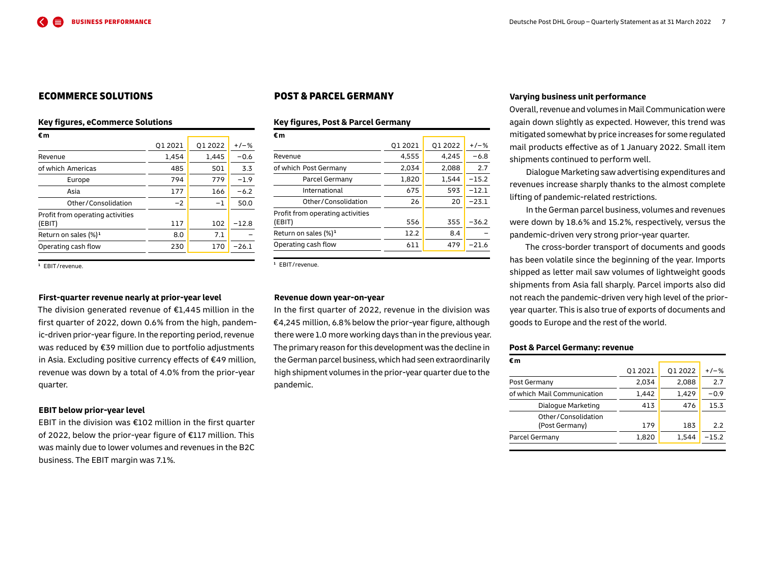## ECOMMERCE SOLUTIONS

#### **Key figures, eCommerce Solutions**

| Q1 2021 | 01 2022 | $+/-$ % |  |
|---------|---------|---------|--|
| 1.454   | 1.445   | $-0.6$  |  |
| 485     | 501     | 3.3     |  |
| 794     | 779     | $-1.9$  |  |
| 177     | 166     | $-6.2$  |  |
| $-2$    | $^{-1}$ | 50.0    |  |
|         |         |         |  |
| 117     | 102     | $-12.8$ |  |
| 8.0     | 7.1     |         |  |
| 230     | 170     | $-26.1$ |  |
|         |         |         |  |

**<sup>1</sup>** EBIT / revenue.

## **First-quarter revenue nearly at prior-year level**

The division generated revenue of €1,445 million in the first quarter of 2022, down 0.6 % from the high, pandemic-driven prior-year figure. In the reporting period, revenue was reduced by €39 million due to portfolio adjustments in Asia. Excluding positive currency effects of €49 million, revenue was down by a total of 4.0 % from the prior-year quarter.

#### **EBIT below prior-year level**

EBIT in the division was €102 million in the first quarter of 2022, below the prior-year figure of €117 million. This was mainly due to lower volumes and revenues in the B2C business. The EBIT margin was 7.1 %.

## POST & PARCEL GERMANY

#### **Key figures, Post & Parcel Germany**

| €m                               |         |         |         |
|----------------------------------|---------|---------|---------|
|                                  | 01 2021 | 01 2022 | $+/-$ % |
| Revenue                          | 4,555   | 4,245   | $-6.8$  |
| of which Post Germany            | 2,034   | 2.088   | 2.7     |
| Parcel Germany                   | 1,820   | 1.544   | $-15.2$ |
| International                    | 675     | 593     | $-12.1$ |
| Other/Consolidation              | 26      | 20      | $-23.1$ |
| Profit from operating activities |         |         |         |
| (EBIT)                           | 556     | 355     | $-36.2$ |
| Return on sales $(\%)^1$         | 12.2    | 8.4     |         |
| Operating cash flow              | 611     | 479     | $-21.6$ |
|                                  |         |         |         |

**<sup>1</sup>** EBIT / revenue.

#### **Revenue down year-on-year**

In the first quarter of 2022, revenue in the division was €4,245 million, 6.8 % below the prior-year figure, although there were 1.0 more working days than in the previous year. The primary reason for this development was the decline in theGerman parcel business,which had seen extraordinarily high shipment volumes in the prior-year quarter due to the pandemic.

#### **Varying business unit performance**

Overall, revenue and volumes in Mail Communication were again down slightly as expected. However, this trend was mitigated somewhat by price increases for some regulated mail products effective as of 1 January 2022. Small item shipments continued to perform well.

Dialogue Marketing saw advertising expenditures and revenues increase sharply thanks to the almost complete lifting of pandemic-related restrictions.

In the German parcel business, volumes and revenues were down by 18.6 % and 15.2 %, respectively, versus the pandemic-driven very strong prior-year quarter.

The cross-border transport of documents and goods has been volatile since the beginning of the year. Imports shipped as letter mail saw volumes of lightweight goods shipments from Asia fall sharply. Parcel imports also did not reach the pandemic-driven very high level of the prioryear quarter. This is also true of exports of documents and goods to Europe and the rest of the world.

#### **Post & Parcel Germany: revenue**

| €m                                    |         |         |         |
|---------------------------------------|---------|---------|---------|
|                                       | Q1 2021 | Q1 2022 | $+/-$ % |
| Post Germany                          | 2,034   | 2,088   | 2.7     |
| of which Mail Communication           | 1,442   | 1,429   | $-0.9$  |
| Dialogue Marketing                    | 413     | 476     | 15.3    |
| Other/Consolidation<br>(Post Germany) | 179     | 183     | 2.2     |
| Parcel Germany                        | 1,820   | 1,544   | $-15.2$ |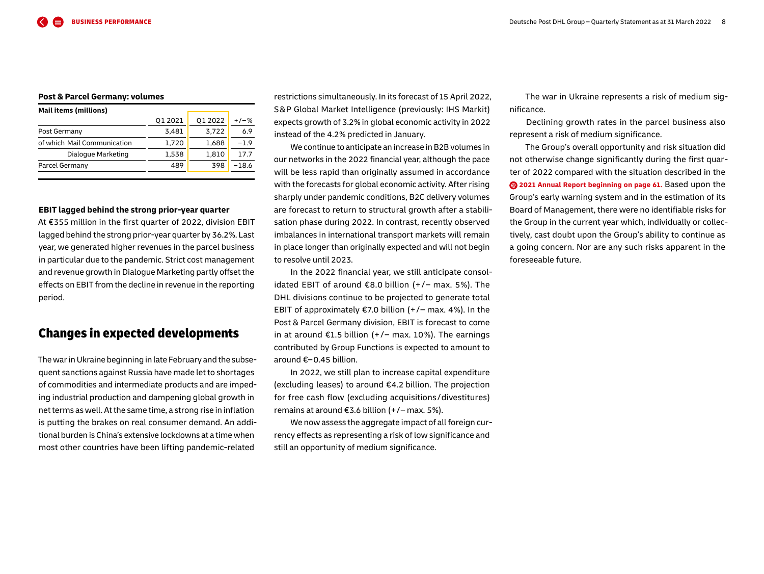#### <span id="page-7-0"></span>**Post & Parcel Germany: volumes**

| Mail items (millions)       |         |         |         |
|-----------------------------|---------|---------|---------|
|                             | 01 2021 | 01 2022 | $+/-$ % |
| Post Germany                | 3.481   | 3,722   | 6.9     |
| of which Mail Communication | 1,720   | 1,688   | $-1.9$  |
| Dialogue Marketing          | 1.538   | 1.810   | 17.7    |
| Parcel Germany              | 489     | 398     | $-18.6$ |
|                             |         |         |         |

#### **EBIT lagged behind the strong prior-year quarter**

At €355 million in the first quarter of 2022, division EBIT lagged behind the strong prior-year quarter by 36.2 %. Last year, we generated higher revenues in the parcel business in particular due to the pandemic. Strict cost management and revenue growth in Dialogue Marketing partly offset the effects on EBIT from the decline in revenue in the reporting period.

## Changes in expected developments

The war in Ukraine beginning in late February and the subsequent sanctions against Russia have made let to shortages of commodities and intermediate products and are impeding industrial production and dampening global growth in net terms as well. At the same time, a strong rise in inflation is putting the brakes on real consumer demand. An additional burden is China's extensive lockdowns at a time when most other countries have been lifting pandemic-related

restrictions simultaneously. In its forecast of 15 April 2022, S & P Global Market Intelligence (previously: IHS Markit) expects growth of 3.2 % in global economic activity in 2022 instead of the 4.2 % predicted in January.

We continue to anticipate an increase in B2B volumes in our networks in the 2022 financial year, although the pace will be less rapid than originally assumed in accordance with the forecasts for global economic activity. After rising sharply under pandemic conditions, B2C delivery volumes are forecast to return to structural growth after a stabilisation phase during 2022. In contrast, recently observed imbalances in international transport markets will remain in place longer than originally expected and will not begin to resolve until 2023.

In the 2022 financial year, we still anticipate consolidated EBIT of around €8.0 billion  $(+/-$  max. 5%). The DHL divisions continue to be projected to generate total EBIT of approximately  $\epsilon$ 7.0 billion (+/– max. 4%). In the Post & Parcel Germany division, EBIT is forecast to come in at around  $E1.5$  billion ( $+/-$  max. 10%). The earnings contributed by Group Functions is expected to amount to around €–0.45 billion.

In 2022, we still plan to increase capital expenditure (excluding leases) to around €4.2 billion. The projection for free cash flow (excluding acquisitions / divestitures) remains at around €3.6 billion  $(+/-$  max. 5%).

We now assess the aggregate impact of all foreign currency effects as representing a risk of low significance and still an opportunity of medium significance.

The war in Ukraine represents a risk of medium significance.

Declining growth rates in the parcel business also represent a risk of medium significance.

The Group's overall opportunity and risk situation did not otherwise change significantly during the first quarter of 2022 compared with the situation described in the

**[2021 Annual Report beginning on page 61.](https://www.dpdhl.com/content/dam/dpdhl/en/media-center/investors/documents/annual-reports/DPDHL-2021-Annual-Report.pdf#page=61)** Based upon the Group's early warning system and in the estimation of its Board of Management, there were no identifiable risks for the Group in the current year which, individually or collectively, cast doubt upon the Group's ability to continue as a going concern. Nor are any such risks apparent in the foreseeable future.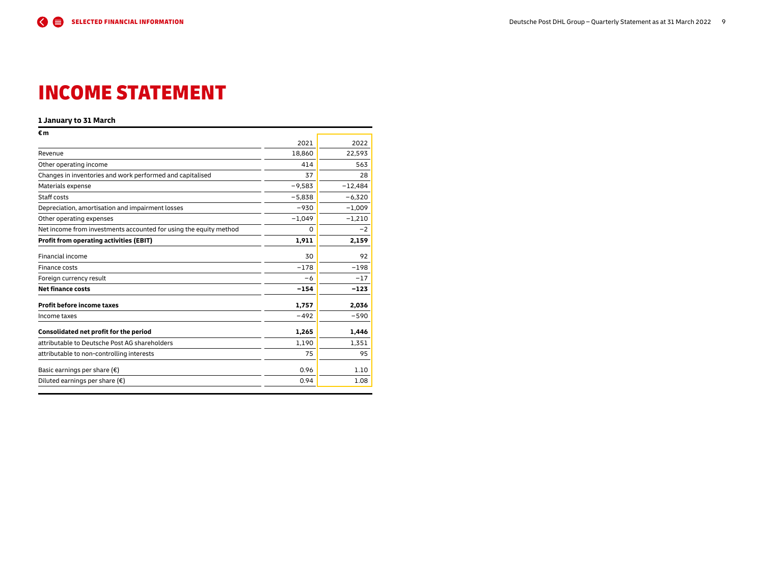# <span id="page-8-0"></span>INCOME STATEMENT

#### **1 January to 31 March**

| 2021     | 2022      |
|----------|-----------|
| 18,860   | 22,593    |
| 414      | 563       |
| 37       | 28        |
| $-9,583$ | $-12,484$ |
| $-5,838$ | $-6,320$  |
| $-930$   | $-1,009$  |
| $-1,049$ | $-1,210$  |
| 0        | $-2$      |
| 1,911    | 2,159     |
| 30       | 92        |
| $-178$   | $-198$    |
| $-6$     | $-17$     |
| $-154$   | $-123$    |
| 1,757    | 2,036     |
| $-492$   | $-590$    |
| 1,265    | 1,446     |
| 1.190    | 1,351     |
| 75       | 95        |
| 0.96     | 1.10      |
| 0.94     | 1.08      |
|          |           |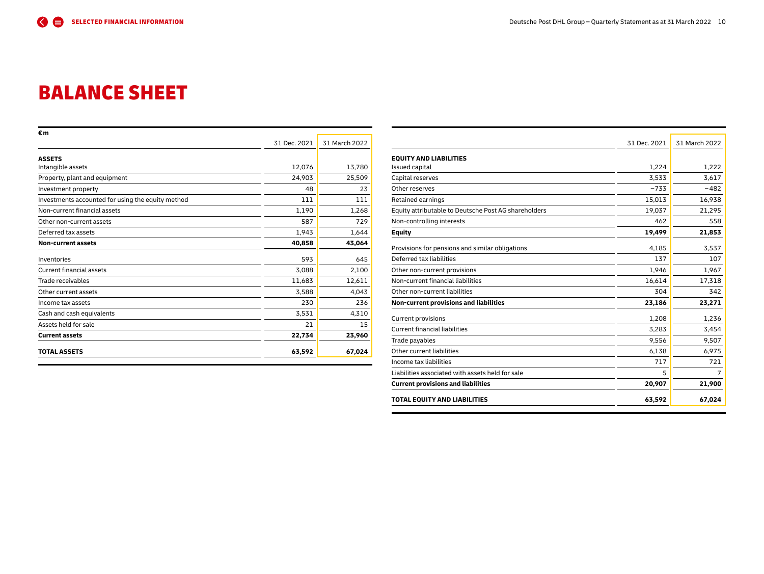# <span id="page-9-0"></span>BALANCE SHEET

| €m                                                |              |               |
|---------------------------------------------------|--------------|---------------|
|                                                   | 31 Dec. 2021 | 31 March 2022 |
| <b>ASSETS</b>                                     |              |               |
| Intangible assets                                 | 12,076       | 13,780        |
| Property, plant and equipment                     | 24,903       | 25,509        |
| Investment property                               | 48           | 23            |
| Investments accounted for using the equity method | 111          | 111           |
| Non-current financial assets                      | 1,190        | 1,268         |
| Other non-current assets                          | 587          | 729           |
| Deferred tax assets                               | 1,943        | 1,644         |
| Non-current assets                                | 40,858       | 43,064        |
| Inventories                                       | 593          | 645           |
| <b>Current financial assets</b>                   | 3,088        | 2,100         |
| Trade receivables                                 | 11,683       | 12,611        |
| Other current assets                              | 3,588        | 4,043         |
| Income tax assets                                 | 230          | 236           |
| Cash and cash equivalents                         | 3,531        | 4,310         |
| Assets held for sale                              | 21           | 15            |
| <b>Current assets</b>                             | 22,734       | 23,960        |
| <b>TOTAL ASSETS</b>                               | 63,592       | 67,024        |

|                                                      | 31 Dec. 2021 | 31 March 2022  |
|------------------------------------------------------|--------------|----------------|
|                                                      |              |                |
| <b>EQUITY AND LIABILITIES</b>                        |              |                |
| <b>Issued capital</b>                                | 1,224        | 1,222          |
| Capital reserves                                     | 3,533        | 3,617          |
| Other reserves                                       | $-733$       | $-482$         |
| Retained earnings                                    | 15,013       | 16,938         |
| Equity attributable to Deutsche Post AG shareholders | 19,037       | 21,295         |
| Non-controlling interests                            | 462          | 558            |
| <b>Equity</b>                                        | 19,499       | 21,853         |
| Provisions for pensions and similar obligations      | 4.185        | 3,537          |
| Deferred tax liabilities                             | 137          | 107            |
| Other non-current provisions                         | 1,946        | 1,967          |
| Non-current financial liabilities                    | 16,614       | 17,318         |
| Other non-current liabilities                        | 304          | 342            |
| Non-current provisions and liabilities               | 23,186       | 23,271         |
| <b>Current provisions</b>                            | 1,208        | 1,236          |
| <b>Current financial liabilities</b>                 | 3,283        | 3,454          |
| Trade payables                                       | 9,556        | 9,507          |
| Other current liabilities                            | 6,138        | 6,975          |
| Income tax liabilities                               | 717          | 721            |
| Liabilities associated with assets held for sale     | 5            | $\overline{7}$ |
| <b>Current provisions and liabilities</b>            | 20,907       | 21,900         |
| TOTAL EQUITY AND LIABILITIES                         | 63,592       | 67,024         |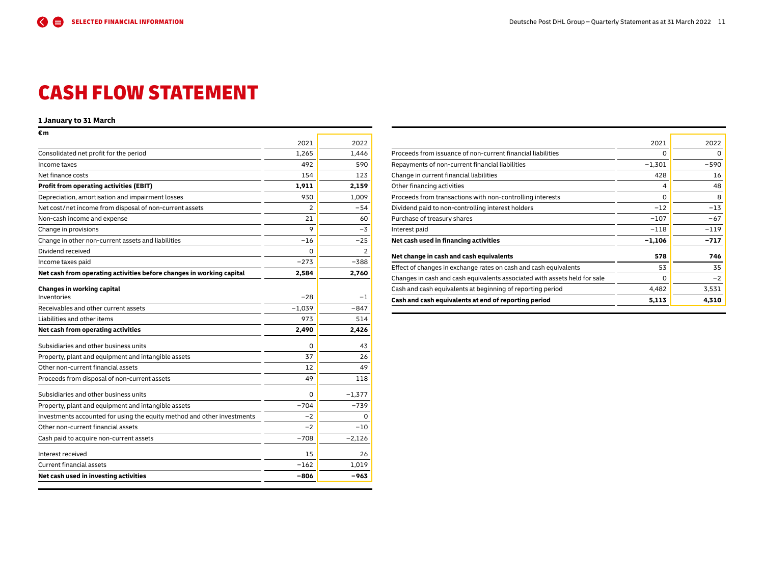# <span id="page-10-0"></span>CASH FLOW STATEMENT

## **1 January to 31 March**

| €m                                                                      |                |          |
|-------------------------------------------------------------------------|----------------|----------|
|                                                                         | 2021           | 2022     |
| Consolidated net profit for the period                                  | 1,265          | 1,446    |
| Income taxes                                                            | 492            | 590      |
| Net finance costs                                                       | 154            | 123      |
| <b>Profit from operating activities (EBIT)</b>                          | 1,911          | 2,159    |
| Depreciation, amortisation and impairment losses                        | 930            | 1,009    |
| Net cost/net income from disposal of non-current assets                 | $\overline{2}$ | $-54$    |
| Non-cash income and expense                                             | 21             | 60       |
| Change in provisions                                                    | 9              | $-3$     |
| Change in other non-current assets and liabilities                      | $-16$          | $-25$    |
| Dividend received                                                       | 0              | 2        |
| Income taxes paid                                                       | $-273$         | $-388$   |
| Net cash from operating activities before changes in working capital    | 2,584          | 2,760    |
| Changes in working capital                                              |                |          |
| Inventories                                                             | $-28$          | -1       |
| Receivables and other current assets                                    | $-1,039$       | $-847$   |
| Liabilities and other items                                             | 973            | 514      |
| Net cash from operating activities                                      | 2,490          | 2,426    |
|                                                                         |                |          |
| Subsidiaries and other business units                                   | O              | 43       |
| Property, plant and equipment and intangible assets                     | 37             | 26       |
| Other non-current financial assets                                      | 12             | 49       |
| Proceeds from disposal of non-current assets                            | 49             | 118      |
| Subsidiaries and other business units                                   | 0              | $-1,377$ |
| Property, plant and equipment and intangible assets                     | $-704$         | $-739$   |
| Investments accounted for using the equity method and other investments | $-2$           | 0        |
| Other non-current financial assets                                      | $-2$           | $-10$    |
| Cash paid to acquire non-current assets                                 | $-708$         | $-2,126$ |
| Interest received                                                       | 15             | 26       |
| <b>Current financial assets</b>                                         | $-162$         | 1,019    |
| Net cash used in investing activities                                   | $-806$         | -963     |

| 2021<br>Proceeds from issuance of non-current financial liabilities<br>0<br>$-1,301$<br>Repayments of non-current financial liabilities<br>Change in current financial liabilities<br>428<br>Other financing activities<br>$\overline{4}$<br>Proceeds from transactions with non-controlling interests<br>$\Omega$<br>$-12$<br>Dividend paid to non-controlling interest holders<br>$-107$<br>Purchase of treasury shares<br>$-118$<br>Interest paid<br>Net cash used in financing activities<br>$-1,106$<br>Net change in cash and cash equivalents<br>578<br>Effect of changes in exchange rates on cash and cash equivalents<br>53<br>Changes in cash and cash equivalents associated with assets held for sale<br>0<br>Cash and cash equivalents at beginning of reporting period<br>4,482<br>Cash and cash equivalents at end of reporting period<br>5,113 | 4.310  |
|-----------------------------------------------------------------------------------------------------------------------------------------------------------------------------------------------------------------------------------------------------------------------------------------------------------------------------------------------------------------------------------------------------------------------------------------------------------------------------------------------------------------------------------------------------------------------------------------------------------------------------------------------------------------------------------------------------------------------------------------------------------------------------------------------------------------------------------------------------------------|--------|
|                                                                                                                                                                                                                                                                                                                                                                                                                                                                                                                                                                                                                                                                                                                                                                                                                                                                 | 3,531  |
|                                                                                                                                                                                                                                                                                                                                                                                                                                                                                                                                                                                                                                                                                                                                                                                                                                                                 | $-2$   |
|                                                                                                                                                                                                                                                                                                                                                                                                                                                                                                                                                                                                                                                                                                                                                                                                                                                                 | 35     |
|                                                                                                                                                                                                                                                                                                                                                                                                                                                                                                                                                                                                                                                                                                                                                                                                                                                                 | 746    |
|                                                                                                                                                                                                                                                                                                                                                                                                                                                                                                                                                                                                                                                                                                                                                                                                                                                                 | $-717$ |
|                                                                                                                                                                                                                                                                                                                                                                                                                                                                                                                                                                                                                                                                                                                                                                                                                                                                 | $-119$ |
|                                                                                                                                                                                                                                                                                                                                                                                                                                                                                                                                                                                                                                                                                                                                                                                                                                                                 | $-67$  |
|                                                                                                                                                                                                                                                                                                                                                                                                                                                                                                                                                                                                                                                                                                                                                                                                                                                                 | $-13$  |
|                                                                                                                                                                                                                                                                                                                                                                                                                                                                                                                                                                                                                                                                                                                                                                                                                                                                 | 8      |
|                                                                                                                                                                                                                                                                                                                                                                                                                                                                                                                                                                                                                                                                                                                                                                                                                                                                 | 48     |
|                                                                                                                                                                                                                                                                                                                                                                                                                                                                                                                                                                                                                                                                                                                                                                                                                                                                 | 16     |
|                                                                                                                                                                                                                                                                                                                                                                                                                                                                                                                                                                                                                                                                                                                                                                                                                                                                 | $-590$ |
|                                                                                                                                                                                                                                                                                                                                                                                                                                                                                                                                                                                                                                                                                                                                                                                                                                                                 | 0      |
|                                                                                                                                                                                                                                                                                                                                                                                                                                                                                                                                                                                                                                                                                                                                                                                                                                                                 | 2022   |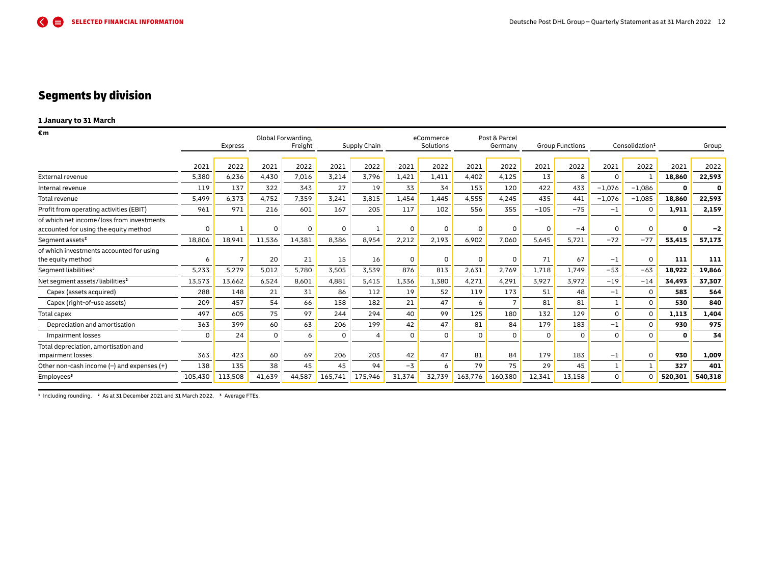## <span id="page-11-0"></span>Segments by division

## **1 January to 31 March**

| €m                                                                                 |         |                |          | Global Forwarding, |          |              |          | eCommerce |             | Post & Parcel |          |                        |          |                            |              |             |
|------------------------------------------------------------------------------------|---------|----------------|----------|--------------------|----------|--------------|----------|-----------|-------------|---------------|----------|------------------------|----------|----------------------------|--------------|-------------|
|                                                                                    |         | <b>Express</b> |          | Freight            |          | Supply Chain |          | Solutions |             | Germany       |          | <b>Group Functions</b> |          | Consolidation <sup>1</sup> |              | Group       |
|                                                                                    |         |                |          |                    |          |              |          |           |             |               |          |                        |          |                            |              |             |
|                                                                                    | 2021    | 2022           | 2021     | 2022               | 2021     | 2022         | 2021     | 2022      | 2021        | 2022          | 2021     | 2022                   | 2021     | 2022                       | 2021         | 2022        |
| <b>External revenue</b>                                                            | 5,380   | 6,236          | 4,430    | 7,016              | 3,214    | 3,796        | 1,421    | 1,411     | 4,402       | 4,125         | 13       | 8                      | $\Omega$ | -1                         | 18,860       | 22,593      |
| Internal revenue                                                                   | 119     | 137            | 322      | 343                | 27       | 19           | 33       | 34        | 153         | 120           | 422      | 433                    | $-1,076$ | $-1,086$                   | 0            | $\mathbf 0$ |
| Total revenue                                                                      | 5,499   | 6,373          | 4,752    | 7,359              | 3,241    | 3,815        | 1,454    | 1,445     | 4,555       | 4.245         | 435      | 441                    | $-1,076$ | $-1,085$                   | 18,860       | 22,593      |
| Profit from operating activities (EBIT)                                            | 961     | 971            | 216      | 601                | 167      | 205          | 117      | 102       | 556         | 355           | $-105$   | $-75$                  | $-1$     | $\Omega$                   | 1,911        | 2,159       |
| of which net income/loss from investments<br>accounted for using the equity method | 0       |                | $\Omega$ | $\Omega$           | $\Omega$ |              | $\Omega$ | 0         | $\Omega$    | $\Omega$      | $\Omega$ | $-4$                   | $\Omega$ | $\Omega$                   | $\mathbf{0}$ | $-2$        |
| Segment assets <sup>2</sup>                                                        | 18,806  | 18,941         | 11,536   | 14,381             | 8,386    | 8,954        | 2,212    | 2,193     | 6,902       | 7,060         | 5,645    | 5,721                  | $-72$    | $-77$                      | 53,415       | 57,173      |
| of which investments accounted for using<br>the equity method                      | 6       | $\overline{7}$ | 20       | 21                 | 15       | 16           | 0        | 0         | $\mathbf 0$ | $\Omega$      | 71       | 67                     | $-1$     | 0                          | 111          | 111         |
| Segment liabilities <sup>2</sup>                                                   | 5,233   | 5,279          | 5,012    | 5,780              | 3,505    | 3,539        | 876      | 813       | 2,631       | 2,769         | 1,718    | 1,749                  | $-53$    | $-63$                      | 18,922       | 19,866      |
| Net segment assets/liabilities <sup>2</sup>                                        | 13,573  | 13,662         | 6,524    | 8,601              | 4,881    | 5,415        | 1,336    | 1,380     | 4,271       | 4,291         | 3,927    | 3,972                  | $-19$    | $-14$                      | 34,493       | 37,307      |
| Capex (assets acquired)                                                            | 288     | 148            | 21       | 31                 | 86       | 112          | 19       | 52        | 119         | 173           | 51       | 48                     | $-1$     | $\Omega$                   | 583          | 564         |
| Capex (right-of-use assets)                                                        | 209     | 457            | 54       | 66                 | 158      | 182          | 21       | 47        | 6           | $\mathbf{z}$  | 81       | 81                     |          | $\Omega$                   | 530          | 840         |
| Total capex                                                                        | 497     | 605            | 75       | 97                 | 244      | 294          | 40       | 99        | 125         | 180           | 132      | 129                    | $\Omega$ | $\Omega$                   | 1,113        | 1,404       |
| Depreciation and amortisation                                                      | 363     | 399            | 60       | 63                 | 206      | 199          | 42       | 47        | 81          | 84            | 179      | 183                    | $-1$     | $\Omega$                   | 930          | 975         |
| Impairment losses                                                                  | 0       | 24             | $\Omega$ | 6                  | $\Omega$ | Δ            | $\Omega$ | $\Omega$  | $\Omega$    | $\mathbf 0$   | $\Omega$ | $\Omega$               | $\Omega$ | $\Omega$                   | $\mathbf{o}$ | 34          |
| Total depreciation, amortisation and<br>impairment losses                          | 363     | 423            | 60       | 69                 | 206      | 203          | 42       | 47        | 81          | 84            | 179      | 183                    | $-1$     | $\Omega$                   | 930          | 1,009       |
| Other non-cash income $(-)$ and expenses $(+)$                                     | 138     | 135            | 38       | 45                 | 45       | 94           | $-3$     | 6         | 79          | 75            | 29       | 45                     |          |                            | 327          | 401         |
| Employees <sup>3</sup>                                                             | 105,430 | 113,508        | 41,639   | 44,587             | 165,741  | 175,946      | 31,374   | 32,739    | 163,776     | 160,380       | 12,341   | 13,158                 | $\Omega$ | $\Omega$                   | 520,301      | 540,318     |

**<sup>1</sup>** Including rounding. **2** As at 31 December 2021 and 31 March 2022. **3** Average FTEs.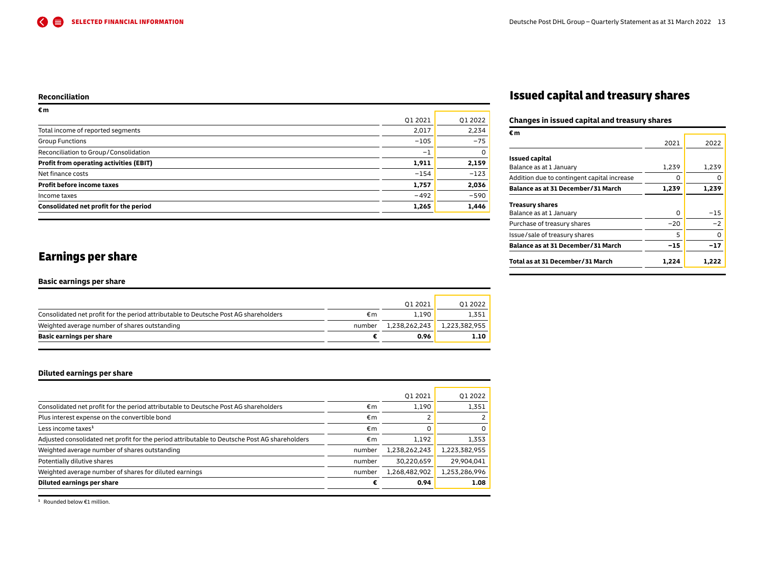#### <span id="page-12-0"></span>**Reconciliation**

| €m                                      |         |          |
|-----------------------------------------|---------|----------|
|                                         | Q1 2021 | 01 2022  |
| Total income of reported segments       | 2,017   | 2,234    |
| <b>Group Functions</b>                  | $-105$  | $-75$    |
| Reconciliation to Group/Consolidation   | $-1$    | $\Omega$ |
| Profit from operating activities (EBIT) | 1,911   | 2,159    |
| Net finance costs                       | $-154$  | $-123$   |
| <b>Profit before income taxes</b>       | 1,757   | 2,036    |
| Income taxes                            | $-492$  | $-590$   |
| Consolidated net profit for the period  | 1,265   | 1,446    |
|                                         |         |          |

## Issued capital and treasury shares

## **Changes in issued capital and treasury shares**

| Total as at 31 December / 31 March                | 1,224 | 1,222 |
|---------------------------------------------------|-------|-------|
| Balance as at 31 December/31 March                | -15   | -17   |
| Issue/sale of treasury shares                     | 5     | O     |
| Purchase of treasury shares                       | $-20$ | $-2$  |
| <b>Treasury shares</b><br>Balance as at 1 January | O     | -15   |
| Balance as at 31 December/31 March                | 1,239 | 1,239 |
| Addition due to contingent capital increase       | O     |       |
| <b>Issued capital</b><br>Balance as at 1 January  | 1,239 | 1,239 |
|                                                   | 2021  | 2022  |
| €m                                                |       |       |

## Earnings per share

#### **Basic earnings per share**

| Basic earnings per share                                                             |        | 0.96          | 1.10          |
|--------------------------------------------------------------------------------------|--------|---------------|---------------|
| Weighted average number of shares outstanding                                        | number | 1.238.262.243 | 1,223,382,955 |
| Consolidated net profit for the period attributable to Deutsche Post AG shareholders | €m     | 1.190         | 1.351         |
|                                                                                      |        | 012021        | 01 2022       |
|                                                                                      |        |               |               |

## **Diluted earnings per share**

| Diluted earnings per share                                                                    |        | 0.94          | 1.08          |
|-----------------------------------------------------------------------------------------------|--------|---------------|---------------|
| Weighted average number of shares for diluted earnings                                        | number | 1,268,482,902 | 1,253,286,996 |
| Potentially dilutive shares                                                                   | number | 30,220,659    | 29,904,041    |
| Weighted average number of shares outstanding                                                 | number | 1,238,262,243 | 1,223,382,955 |
| Adjusted consolidated net profit for the period attributable to Deutsche Post AG shareholders | €m     | 1.192         | 1,353         |
| Less income taxes <sup>1</sup>                                                                | €m     |               | 0             |
| Plus interest expense on the convertible bond                                                 | €m     |               |               |
| Consolidated net profit for the period attributable to Deutsche Post AG shareholders          | €m     | 1.190         | 1.351         |
|                                                                                               |        | 012021        | 01 2022       |

**<sup>1</sup>** Rounded below €1 million.